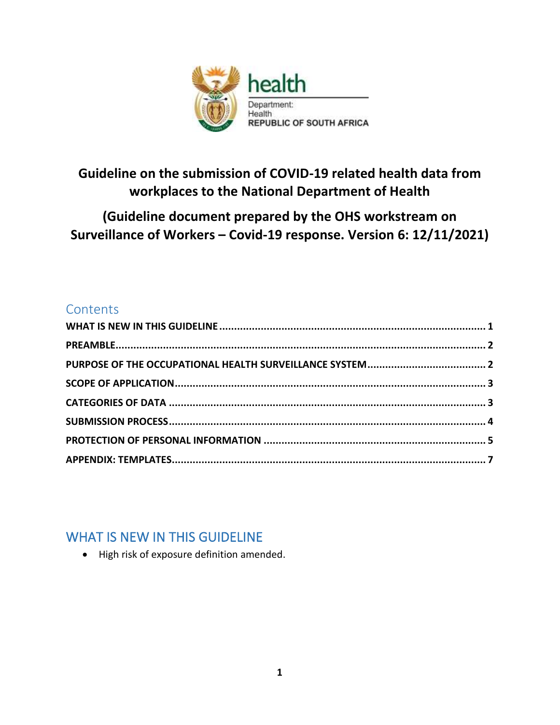

# **Guideline on the submission of COVID-19 related health data from workplaces to the National Department of Health**

# **(Guideline document prepared by the OHS workstream on Surveillance of Workers – Covid-19 response. Version 6: 12/11/2021)**

## **Contents**

# <span id="page-0-0"></span>WHAT IS NEW IN THIS GUIDELINE

• High risk of exposure definition amended.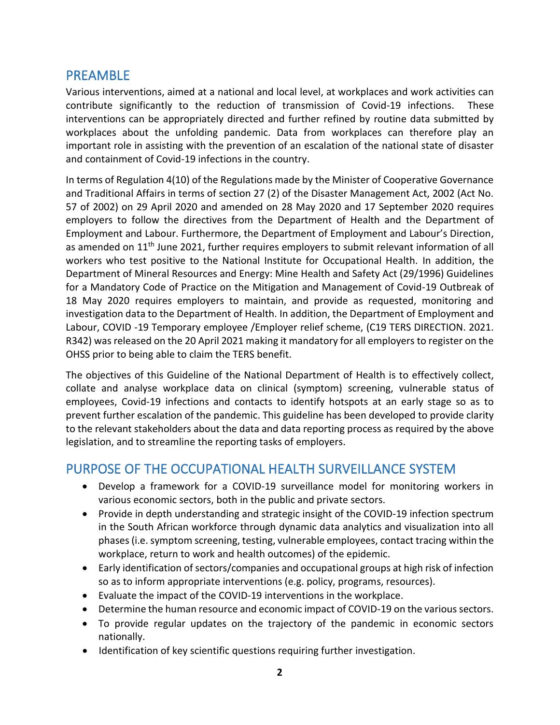### <span id="page-1-0"></span>PREAMBLE

Various interventions, aimed at a national and local level, at workplaces and work activities can contribute significantly to the reduction of transmission of Covid-19 infections. These interventions can be appropriately directed and further refined by routine data submitted by workplaces about the unfolding pandemic. Data from workplaces can therefore play an important role in assisting with the prevention of an escalation of the national state of disaster and containment of Covid-19 infections in the country.

In terms of Regulation 4(10) of the Regulations made by the Minister of Cooperative Governance and Traditional Affairs in terms of section 27 (2) of the Disaster Management Act, 2002 (Act No. 57 of 2002) on 29 April 2020 and amended on 28 May 2020 and 17 September 2020 requires employers to follow the directives from the Department of Health and the Department of Employment and Labour. Furthermore, the Department of Employment and Labour's Direction, as amended on  $11<sup>th</sup>$  June 2021, further requires employers to submit relevant information of all workers who test positive to the National Institute for Occupational Health. In addition, the Department of Mineral Resources and Energy: Mine Health and Safety Act (29/1996) Guidelines for a Mandatory Code of Practice on the Mitigation and Management of Covid-19 Outbreak of 18 May 2020 requires employers to maintain, and provide as requested, monitoring and investigation data to the Department of Health. In addition, the Department of Employment and Labour, COVID -19 Temporary employee /Employer relief scheme, (C19 TERS DIRECTION. 2021. R342) was released on the 20 April 2021 making it mandatory for all employers to register on the OHSS prior to being able to claim the TERS benefit.

The objectives of this Guideline of the National Department of Health is to effectively collect, collate and analyse workplace data on clinical (symptom) screening, vulnerable status of employees, Covid-19 infections and contacts to identify hotspots at an early stage so as to prevent further escalation of the pandemic. This guideline has been developed to provide clarity to the relevant stakeholders about the data and data reporting process as required by the above legislation, and to streamline the reporting tasks of employers.

### <span id="page-1-1"></span>PURPOSE OF THE OCCUPATIONAL HEALTH SURVEILLANCE SYSTEM

- Develop a framework for a COVID-19 surveillance model for monitoring workers in various economic sectors, both in the public and private sectors.
- Provide in depth understanding and strategic insight of the COVID-19 infection spectrum in the South African workforce through dynamic data analytics and visualization into all phases (i.e. symptom screening, testing, vulnerable employees, contact tracing within the workplace, return to work and health outcomes) of the epidemic.
- Early identification of sectors/companies and occupational groups at high risk of infection so as to inform appropriate interventions (e.g. policy, programs, resources).
- Evaluate the impact of the COVID-19 interventions in the workplace.
- Determine the human resource and economic impact of COVID-19 on the various sectors.
- To provide regular updates on the trajectory of the pandemic in economic sectors nationally.
- Identification of key scientific questions requiring further investigation.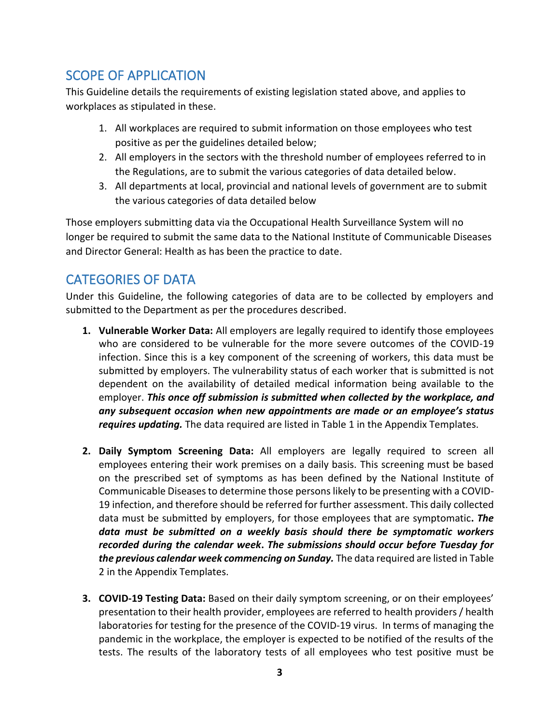## <span id="page-2-0"></span>SCOPE OF APPLICATION

This Guideline details the requirements of existing legislation stated above, and applies to workplaces as stipulated in these.

- 1. All workplaces are required to submit information on those employees who test positive as per the guidelines detailed below;
- 2. All employers in the sectors with the threshold number of employees referred to in the Regulations, are to submit the various categories of data detailed below.
- 3. All departments at local, provincial and national levels of government are to submit the various categories of data detailed below

Those employers submitting data via the Occupational Health Surveillance System will no longer be required to submit the same data to the National Institute of Communicable Diseases and Director General: Health as has been the practice to date.

## <span id="page-2-1"></span>CATEGORIES OF DATA

Under this Guideline, the following categories of data are to be collected by employers and submitted to the Department as per the procedures described.

- **1. Vulnerable Worker Data:** All employers are legally required to identify those employees who are considered to be vulnerable for the more severe outcomes of the COVID-19 infection. Since this is a key component of the screening of workers, this data must be submitted by employers. The vulnerability status of each worker that is submitted is not dependent on the availability of detailed medical information being available to the employer. *This once off submission is submitted when collected by the workplace, and any subsequent occasion when new appointments are made or an employee's status requires updating.* The data required are listed in Table 1 in the Appendix Templates.
- **2. Daily Symptom Screening Data:** All employers are legally required to screen all employees entering their work premises on a daily basis. This screening must be based on the prescribed set of symptoms as has been defined by the National Institute of Communicable Diseases to determine those persons likely to be presenting with a COVID-19 infection, and therefore should be referred for further assessment. This daily collected data must be submitted by employers, for those employees that are symptomatic**.** *The data must be submitted on a weekly basis should there be symptomatic workers recorded during the calendar week***.** *The submissions should occur before Tuesday for the previous calendar week commencing on Sunday.* The data required are listed in Table 2 in the Appendix Templates.
- **3. COVID-19 Testing Data:** Based on their daily symptom screening, or on their employees' presentation to their health provider, employees are referred to health providers / health laboratories for testing for the presence of the COVID-19 virus. In terms of managing the pandemic in the workplace, the employer is expected to be notified of the results of the tests. The results of the laboratory tests of all employees who test positive must be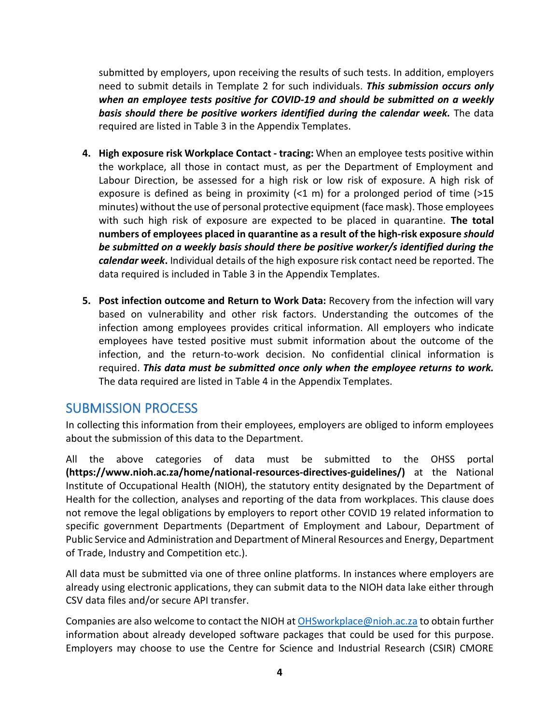submitted by employers, upon receiving the results of such tests. In addition, employers need to submit details in Template 2 for such individuals. *This submission occurs only when an employee tests positive for COVID-19 and should be submitted on a weekly basis should there be positive workers identified during the calendar week.* The data required are listed in Table 3 in the Appendix Templates.

- **4. High exposure risk Workplace Contact - tracing:** When an employee tests positive within the workplace, all those in contact must, as per the Department of Employment and Labour Direction, be assessed for a high risk or low risk of exposure. A high risk of exposure is defined as being in proximity  $\left($  < 1 m) for a prolonged period of time (>15 minutes) without the use of personal protective equipment (face mask). Those employees with such high risk of exposure are expected to be placed in quarantine. **The total numbers of employees placed in quarantine as a result of the high-risk exposure** *should be submitted on a weekly basis should there be positive worker/s identified during the calendar week***.** Individual details of the high exposure risk contact need be reported. The data required is included in Table 3 in the Appendix Templates.
- **5. Post infection outcome and Return to Work Data:** Recovery from the infection will vary based on vulnerability and other risk factors. Understanding the outcomes of the infection among employees provides critical information. All employers who indicate employees have tested positive must submit information about the outcome of the infection, and the return-to-work decision. No confidential clinical information is required. *This data must be submitted once only when the employee returns to work.* The data required are listed in Table 4 in the Appendix Templates.

### <span id="page-3-0"></span>SUBMISSION PROCESS

In collecting this information from their employees, employers are obliged to inform employees about the submission of this data to the Department.

All the above categories of data must be submitted to the OHSS portal **(https://www.nioh.ac.za/home/national-resources-directives-guidelines/)** at the National Institute of Occupational Health (NIOH), the statutory entity designated by the Department of Health for the collection, analyses and reporting of the data from workplaces. This clause does not remove the legal obligations by employers to report other COVID 19 related information to specific government Departments (Department of Employment and Labour, Department of Public Service and Administration and Department of Mineral Resources and Energy, Department of Trade, Industry and Competition etc.).

All data must be submitted via one of three online platforms. In instances where employers are already using electronic applications, they can submit data to the NIOH data lake either through CSV data files and/or secure API transfer.

Companies are also welcome to contact the NIOH a[t OHSworkplace@nioh.ac.za](mailto:OHSworkplace@nioh.ac.za) to obtain further information about already developed software packages that could be used for this purpose. Employers may choose to use the Centre for Science and Industrial Research (CSIR) CMORE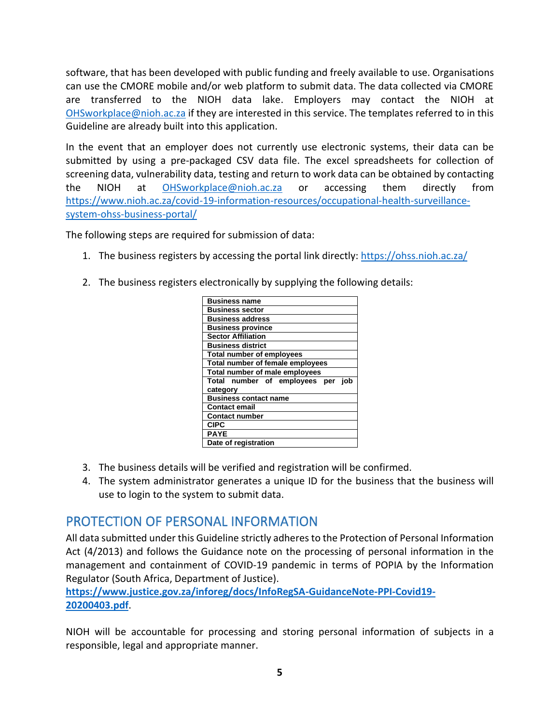software, that has been developed with public funding and freely available to use. Organisations can use the CMORE mobile and/or web platform to submit data. The data collected via CMORE are transferred to the NIOH data lake. Employers may contact the NIOH at [OHSworkplace@nioh.ac.za](mailto:OHSworkplace@nioh.ac.za) if they are interested in this service. The templates referred to in this Guideline are already built into this application.

In the event that an employer does not currently use electronic systems, their data can be submitted by using a pre-packaged CSV data file. The excel spreadsheets for collection of screening data, vulnerability data, testing and return to work data can be obtained by contacting the NIOH at [OHSworkplace@nioh.ac.za](mailto:OHSworkplace@nioh.ac.za) or accessing them directly from [https://www.nioh.ac.za/covid-19-information-resources/occupational-health-surveillance](https://www.nioh.ac.za/covid-19-information-resources/occupational-health-surveillance-system-ohss-business-portal/)[system-ohss-business-portal/](https://www.nioh.ac.za/covid-19-information-resources/occupational-health-surveillance-system-ohss-business-portal/)

The following steps are required for submission of data:

- 1. The business registers by accessing the portal link directly[: https://ohss.nioh.ac.za/](https://ohss.nioh.ac.za/)
- 2. The business registers electronically by supplying the following details:

| <b>Business name</b>                 |
|--------------------------------------|
| <b>Business sector</b>               |
| <b>Business address</b>              |
| <b>Business province</b>             |
| <b>Sector Affiliation</b>            |
| <b>Business district</b>             |
| <b>Total number of employees</b>     |
| Total number of female employees     |
| Total number of male employees       |
|                                      |
| Total number of employees per<br>iob |
| category                             |
| <b>Business contact name</b>         |
| <b>Contact email</b>                 |
| <b>Contact number</b>                |
| <b>CIPC</b>                          |
| <b>PAYE</b>                          |

- 3. The business details will be verified and registration will be confirmed.
- 4. The system administrator generates a unique ID for the business that the business will use to login to the system to submit data.

## <span id="page-4-0"></span>PROTECTION OF PERSONAL INFORMATION

All data submitted under this Guideline strictly adheres to the Protection of Personal Information Act (4/2013) and follows the Guidance note on the processing of personal information in the management and containment of COVID-19 pandemic in terms of POPIA by the Information Regulator (South Africa, Department of Justice).

**[https://www.justice.gov.za/inforeg/docs/InfoRegSA-GuidanceNote-PPI-Covid19-](https://www.justice.gov.za/inforeg/docs/InfoRegSA-GuidanceNote-PPI-Covid19-20200403.pdf) [20200403.pdf](https://www.justice.gov.za/inforeg/docs/InfoRegSA-GuidanceNote-PPI-Covid19-20200403.pdf)**.

NIOH will be accountable for processing and storing personal information of subjects in a responsible, legal and appropriate manner.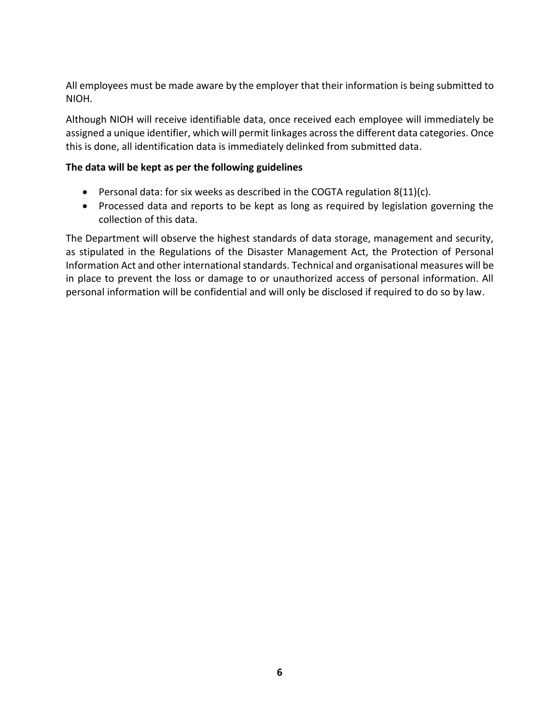All employees must be made aware by the employer that their information is being submitted to NIOH.

Although NIOH will receive identifiable data, once received each employee will immediately be assigned a unique identifier, which will permit linkages across the different data categories. Once this is done, all identification data is immediately delinked from submitted data.

#### **The data will be kept as per the following guidelines**

- Personal data: for six weeks as described in the COGTA regulation 8(11)(c).
- Processed data and reports to be kept as long as required by legislation governing the collection of this data.

<span id="page-5-0"></span>The Department will observe the highest standards of data storage, management and security, as stipulated in the Regulations of the Disaster Management Act, the Protection of Personal Information Act and other international standards. Technical and organisational measures will be in place to prevent the loss or damage to or unauthorized access of personal information. All personal information will be confidential and will only be disclosed if required to do so by law.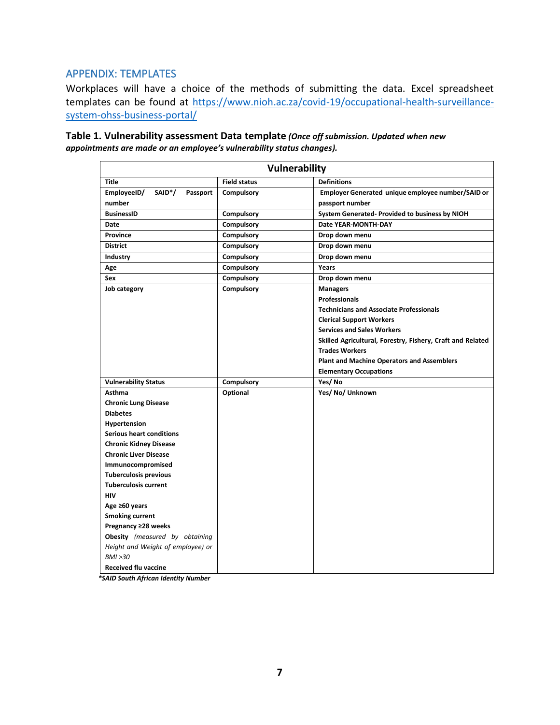#### APPENDIX: TEMPLATES

Workplaces will have a choice of the methods of submitting the data. Excel spreadsheet templates can be found at [https://www.nioh.ac.za/covid-19/occupational-health-surveillance](https://www.nioh.ac.za/covid-19/occupational-health-surveillance-system-ohss-business-portal/)[system-ohss-business-portal/](https://www.nioh.ac.za/covid-19/occupational-health-surveillance-system-ohss-business-portal/)

| <b>Vulnerability</b>                           |                     |                                                            |
|------------------------------------------------|---------------------|------------------------------------------------------------|
| <b>Title</b>                                   | <b>Field status</b> | <b>Definitions</b>                                         |
| SAID <sup>*</sup> /<br>EmployeeID/<br>Passport | <b>Compulsory</b>   | Employer Generated unique employee number/SAID or          |
| number                                         |                     | passport number                                            |
| <b>BusinessID</b>                              | Compulsory          | System Generated-Provided to business by NIOH              |
| Date                                           | <b>Compulsory</b>   | Date YEAR-MONTH-DAY                                        |
| Province                                       | Compulsory          | Drop down menu                                             |
| <b>District</b>                                | <b>Compulsory</b>   | Drop down menu                                             |
| Industry                                       | <b>Compulsory</b>   | Drop down menu                                             |
| Age                                            | Compulsory          | Years                                                      |
| <b>Sex</b>                                     | Compulsory          | Drop down menu                                             |
| Job category                                   | Compulsory          | <b>Managers</b>                                            |
|                                                |                     | <b>Professionals</b>                                       |
|                                                |                     | <b>Technicians and Associate Professionals</b>             |
|                                                |                     | <b>Clerical Support Workers</b>                            |
|                                                |                     | <b>Services and Sales Workers</b>                          |
|                                                |                     | Skilled Agricultural, Forestry, Fishery, Craft and Related |
|                                                |                     | <b>Trades Workers</b>                                      |
|                                                |                     | <b>Plant and Machine Operators and Assemblers</b>          |
|                                                |                     | <b>Elementary Occupations</b>                              |
| <b>Vulnerability Status</b>                    | <b>Compulsory</b>   | Yes/No                                                     |
| Asthma                                         | Optional            | Yes/No/Unknown                                             |
| <b>Chronic Lung Disease</b>                    |                     |                                                            |
| <b>Diabetes</b>                                |                     |                                                            |
| Hypertension                                   |                     |                                                            |
| <b>Serious heart conditions</b>                |                     |                                                            |
| <b>Chronic Kidney Disease</b>                  |                     |                                                            |
| <b>Chronic Liver Disease</b>                   |                     |                                                            |
| Immunocompromised                              |                     |                                                            |
| <b>Tuberculosis previous</b>                   |                     |                                                            |
| <b>Tuberculosis current</b>                    |                     |                                                            |
| <b>HIV</b>                                     |                     |                                                            |
| Age $\geq 60$ years                            |                     |                                                            |
| <b>Smoking current</b>                         |                     |                                                            |
| Pregnancy ≥28 weeks                            |                     |                                                            |
| Obesity (measured by obtaining                 |                     |                                                            |
| Height and Weight of employee) or              |                     |                                                            |
| BMI > 30                                       |                     |                                                            |
| <b>Received flu vaccine</b>                    |                     |                                                            |

**Table 1. Vulnerability assessment Data template** *(Once off submission. Updated when new appointments are made or an employee's vulnerability status changes).*

 *\*SAID South African Identity Number*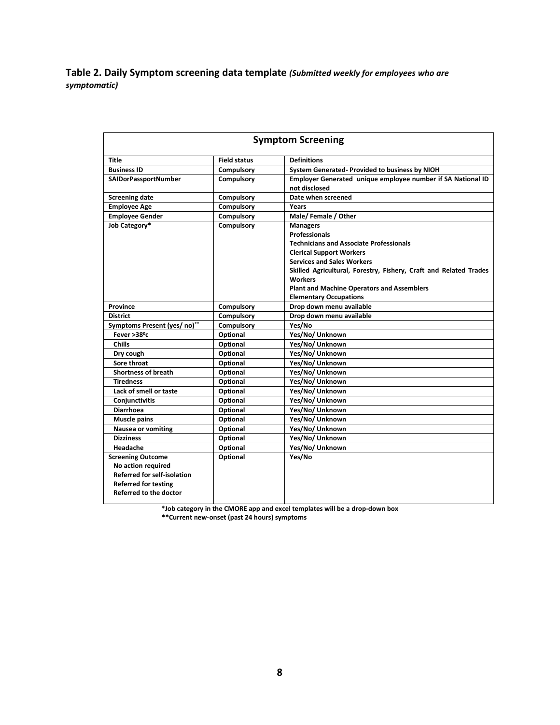**Table 2. Daily Symptom screening data template** *(Submitted weekly for employees who are symptomatic)*

| <b>Symptom Screening</b>                                                                                                                             |                     |                                                                                                                                                                                                                                                          |  |
|------------------------------------------------------------------------------------------------------------------------------------------------------|---------------------|----------------------------------------------------------------------------------------------------------------------------------------------------------------------------------------------------------------------------------------------------------|--|
| <b>Title</b>                                                                                                                                         | <b>Field status</b> | <b>Definitions</b>                                                                                                                                                                                                                                       |  |
| <b>Business ID</b>                                                                                                                                   | Compulsory          | System Generated-Provided to business by NIOH                                                                                                                                                                                                            |  |
| SAIDorPassportNumber                                                                                                                                 | Compulsory          | Employer Generated unique employee number if SA National ID<br>not disclosed                                                                                                                                                                             |  |
| <b>Screening date</b>                                                                                                                                | Compulsory          | Date when screened                                                                                                                                                                                                                                       |  |
| <b>Employee Age</b>                                                                                                                                  | Compulsory          | Years                                                                                                                                                                                                                                                    |  |
| <b>Employee Gender</b>                                                                                                                               | Compulsory          | Male/Female / Other                                                                                                                                                                                                                                      |  |
| Job Category*                                                                                                                                        | Compulsory          | <b>Managers</b><br><b>Professionals</b><br><b>Technicians and Associate Professionals</b><br><b>Clerical Support Workers</b><br><b>Services and Sales Workers</b><br>Skilled Agricultural, Forestry, Fishery, Craft and Related Trades<br><b>Workers</b> |  |
|                                                                                                                                                      |                     | <b>Plant and Machine Operators and Assemblers</b>                                                                                                                                                                                                        |  |
|                                                                                                                                                      |                     | <b>Elementary Occupations</b>                                                                                                                                                                                                                            |  |
| Province                                                                                                                                             | Compulsory          | Drop down menu available                                                                                                                                                                                                                                 |  |
| <b>District</b>                                                                                                                                      | Compulsory          | Drop down menu available                                                                                                                                                                                                                                 |  |
| Symptoms Present (yes/ no)**                                                                                                                         | Compulsory          | Yes/No                                                                                                                                                                                                                                                   |  |
| Fever $>38^{\circ}$ c                                                                                                                                | Optional            | Yes/No/ Unknown                                                                                                                                                                                                                                          |  |
| <b>Chills</b>                                                                                                                                        | Optional            | Yes/No/ Unknown                                                                                                                                                                                                                                          |  |
| Dry cough                                                                                                                                            | Optional            | Yes/No/ Unknown                                                                                                                                                                                                                                          |  |
| Sore throat                                                                                                                                          | Optional            | Yes/No/ Unknown                                                                                                                                                                                                                                          |  |
| <b>Shortness of breath</b>                                                                                                                           | Optional            | Yes/No/ Unknown                                                                                                                                                                                                                                          |  |
| <b>Tiredness</b>                                                                                                                                     | Optional            | Yes/No/ Unknown                                                                                                                                                                                                                                          |  |
| Lack of smell or taste                                                                                                                               | Optional            | Yes/No/ Unknown                                                                                                                                                                                                                                          |  |
| <b>Conjunctivitis</b>                                                                                                                                | Optional            | Yes/No/ Unknown                                                                                                                                                                                                                                          |  |
| <b>Diarrhoea</b>                                                                                                                                     | Optional            | Yes/No/ Unknown                                                                                                                                                                                                                                          |  |
| <b>Muscle pains</b>                                                                                                                                  | Optional            | Yes/No/ Unknown                                                                                                                                                                                                                                          |  |
| <b>Nausea or vomiting</b>                                                                                                                            | Optional            | Yes/No/ Unknown                                                                                                                                                                                                                                          |  |
| <b>Dizziness</b>                                                                                                                                     | Optional            | Yes/No/ Unknown                                                                                                                                                                                                                                          |  |
| Headache                                                                                                                                             | Optional            | Yes/No/ Unknown                                                                                                                                                                                                                                          |  |
| <b>Screening Outcome</b><br>No action required<br><b>Referred for self-isolation</b><br><b>Referred for testing</b><br><b>Referred to the doctor</b> | Optional            | Yes/No                                                                                                                                                                                                                                                   |  |

**\*Job category in the CMORE app and excel templates will be a drop-down box**

 **\*\*Current new-onset (past 24 hours) symptoms**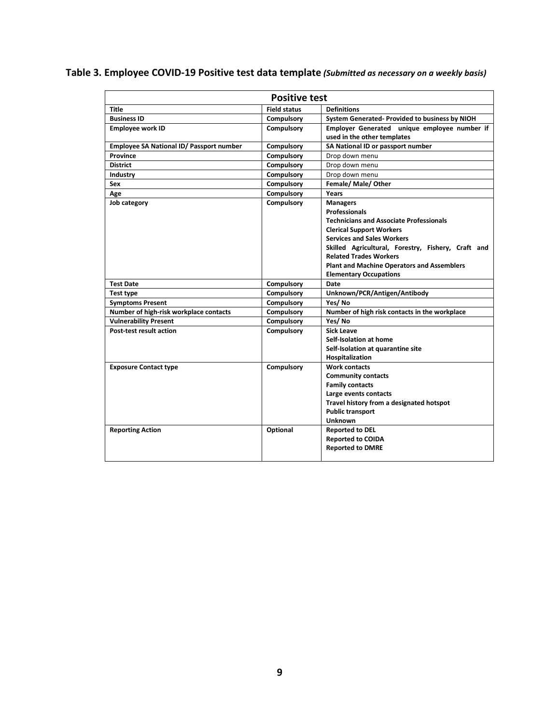|  | Table 3. Employee COVID-19 Positive test data template (Submitted as necessary on a weekly basis) |
|--|---------------------------------------------------------------------------------------------------|
|--|---------------------------------------------------------------------------------------------------|

| <b>Positive test</b>                     |                     |                                                    |  |
|------------------------------------------|---------------------|----------------------------------------------------|--|
| <b>Title</b>                             | <b>Field status</b> | <b>Definitions</b>                                 |  |
| <b>Business ID</b>                       | Compulsory          | System Generated- Provided to business by NIOH     |  |
| <b>Employee work ID</b>                  | Compulsory          | Employer Generated unique employee number if       |  |
|                                          |                     | used in the other templates                        |  |
| Employee SA National ID/ Passport number | Compulsory          | SA National ID or passport number                  |  |
| Province                                 | Compulsory          | Drop down menu                                     |  |
| <b>District</b>                          | Compulsory          | Drop down menu                                     |  |
| <b>Industry</b>                          | Compulsory          | Drop down menu                                     |  |
| Sex                                      | Compulsory          | Female/ Male/ Other                                |  |
| Age                                      | Compulsory          | Years                                              |  |
| Job category                             | Compulsory          | <b>Managers</b>                                    |  |
|                                          |                     | <b>Professionals</b>                               |  |
|                                          |                     | <b>Technicians and Associate Professionals</b>     |  |
|                                          |                     | <b>Clerical Support Workers</b>                    |  |
|                                          |                     | <b>Services and Sales Workers</b>                  |  |
|                                          |                     | Skilled Agricultural, Forestry, Fishery, Craft and |  |
|                                          |                     | <b>Related Trades Workers</b>                      |  |
|                                          |                     | <b>Plant and Machine Operators and Assemblers</b>  |  |
|                                          |                     | <b>Elementary Occupations</b>                      |  |
| <b>Test Date</b>                         | Compulsory          | Date                                               |  |
| Test type                                | Compulsory          | Unknown/PCR/Antigen/Antibody                       |  |
| <b>Symptoms Present</b>                  | <b>Compulsory</b>   | Yes/No                                             |  |
| Number of high-risk workplace contacts   | <b>Compulsory</b>   | Number of high risk contacts in the workplace      |  |
| <b>Vulnerability Present</b>             | <b>Compulsory</b>   | Yes/No                                             |  |
| Post-test result action                  | Compulsory          | Sick Leave                                         |  |
|                                          |                     | Self-Isolation at home                             |  |
|                                          |                     | Self-Isolation at quarantine site                  |  |
|                                          |                     | Hospitalization                                    |  |
| <b>Exposure Contact type</b>             | Compulsory          | <b>Work contacts</b>                               |  |
|                                          |                     | <b>Community contacts</b>                          |  |
|                                          |                     | <b>Family contacts</b>                             |  |
|                                          |                     | Large events contacts                              |  |
|                                          |                     | Travel history from a designated hotspot           |  |
|                                          |                     | <b>Public transport</b>                            |  |
|                                          |                     | <b>Unknown</b>                                     |  |
| <b>Reporting Action</b>                  | Optional            | <b>Reported to DEL</b>                             |  |
|                                          |                     | <b>Reported to COIDA</b>                           |  |
|                                          |                     | <b>Reported to DMRE</b>                            |  |
|                                          |                     |                                                    |  |